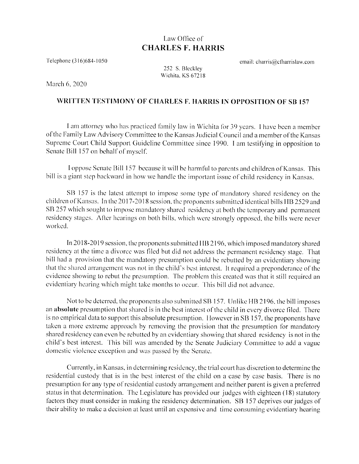## Law Office of **CHARLES F. HARRIS**

Telephone (316)684-1050

email: charris@cfharrislaw.com

252 S. Bleckley Wichita, KS 67218

March 6, 2020

## WRITTEN TESTIMONY OF CHARLES F. HARRIS IN OPPOSITION OF SB 157

I am attorney who has practiced family law in Wichita for 39 years. I have been a member of the Family Law Advisory Committee to the Kansas Judicial Council and a member of the Kansas Supreme Court Child Support Guideline Committee since 1990. I am testifying in opposition to Senate Bill 157 on behalf of myself.

I oppose Senate Bill 157 because it will be harmful to parents and children of Kansas. This bill is a giant step backward in how we handle the important issue of child residency in Kansas.

SB 157 is the latest attempt to impose some type of mandatory shared residency on the children of Kansas. In the 2017-2018 session, the proponents submitted identical bills HB 2529 and SB 257 which sought to impose mandatory shared residency at both the temporary and permanent residency stages. After hearings on both bills, which were strongly opposed, the bills were never worked.

In 2018-2019 session, the proponents submitted HB 2196, which imposed mandatory shared residency at the time a divorce was filed but did not address the permanent residency stage. That bill had a provision that the mandatory presumption could be rebutted by an evidentiary showing that the shared arrangement was not in the child's best interest. It required a preponderance of the evidence showing to rebut the presumption. The problem this created was that it still required an evidentiary hearing which might take months to occur. This bill did not advance.

Not to be deterred, the proponents also submitted SB 157. Unlike HB 2196, the bill imposes an absolute presumption that shared is in the best interest of the child in every divorce filed. There is no empirical data to support this absolute presumption. However in SB 157, the proponents have taken a more extreme approach by removing the provision that the presumption for mandatory shared residency can even be rebutted by an evidentiary showing that shared residency is not in the child's best interest. This bill was amended by the Senate Judiciary Committee to add a vague domestic violence exception and was passed by the Senate.

Currently, in Kansas, in determining residency, the trial court has discretion to determine the residential custody that is in the best interest of the child on a case by case basis. There is no presumption for any type of residential custody arrangement and neither parent is given a preferred status in that determination. The Legislature has provided our judges with eighteen (18) statutory factors they must consider in making the residency determination. SB 157 deprives our judges of their ability to make a decision at least until an expensive and time consuming evidentiary hearing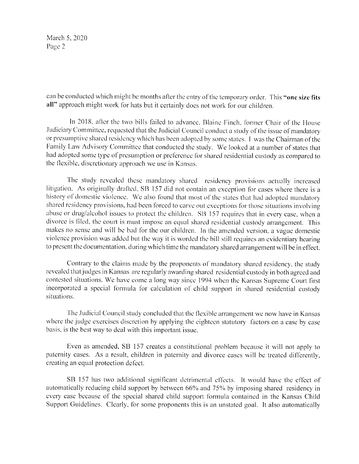March 5, 2020 Page 2

can be conducted which might be months after the entry of the temporary order. This "one size fits all" approach might work for hats but it certainly does not work for our children.

In 2018, after the two bills failed to advance, Blaine Finch, former Chair of the House Judiciary Committee, requested that the Judicial Council conduct a study of the issue of mandatory or presumptive shared residency which has been adopted by some states. I was the Chairman of the Family Law Advisory Committee that conducted the study. We looked at a number of states that had adopted some type of presumption or preference for shared residential custody as compared to the flexible, discretionary approach we use in Kansas.

The study revealed these mandatory shared residency provisions actually increased litigation. As originally drafted, SB 157 did not contain an exception for cases where there is a history of domestic violence. We also found that most of the states that had adopted mandatory shared residency provisions, had been forced to carve out exceptions for those situations involving abuse or drug/alcohol issues to protect the children. SB 157 requires that in every case, when a divorce is filed, the court is must impose an equal shared residential custody arrangement. This makes no sense and will be bad for the our children. In the amended version, a vague domestic violence provision was added but the way it is worded the bill still requires an evidentiary hearing to present the documentation, during which time the mandatory shared arrangement will be in effect.

Contrary to the claims made by the proponents of mandatory shared residency, the study revealed that judges in Kansas are regularly awarding shared residential custody in both agreed and contested situations. We have come a long way since 1994 when the Kansas Supreme Court first incorporated a special formula for calculation of child support in shared residential custody situations.

The Judicial Council study concluded that the flexible arrangement we now have in Kansas where the judge exercises discretion by applying the eighteen statutory factors on a case by case basis, is the best way to deal with this important issue.

Even as amended, SB 157 creates a constitutional problem because it will not apply to paternity cases. As a result, children in paternity and divorce cases will be treated differently, creating an equal protection defect.

SB 157 has two additional significant detrimental effects. It would have the effect of automatically reducing child support by between 66% and 75% by imposing shared residency in every case because of the special shared child support formula contained in the Kansas Child Support Guidelines. Clearly, for some proponents this is an unstated goal. It also automatically